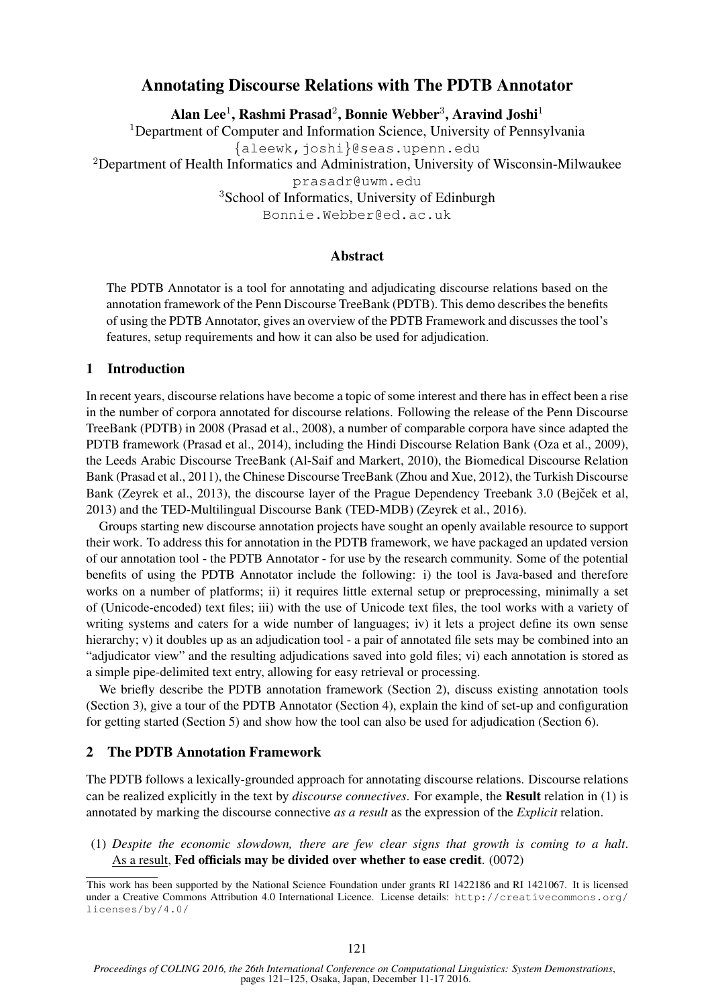# Annotating Discourse Relations with The PDTB Annotator

Alan Lee $^1$ , Rashmi Prasad $^2$ , Bonnie Webber $^3$ , Aravind Joshi $^1$ 

<sup>1</sup>Department of Computer and Information Science, University of Pennsylvania

{aleewk,joshi}@seas.upenn.edu

<sup>2</sup>Department of Health Informatics and Administration, University of Wisconsin-Milwaukee

prasadr@uwm.edu

<sup>3</sup>School of Informatics, University of Edinburgh

Bonnie.Webber@ed.ac.uk

## Abstract

The PDTB Annotator is a tool for annotating and adjudicating discourse relations based on the annotation framework of the Penn Discourse TreeBank (PDTB). This demo describes the benefits of using the PDTB Annotator, gives an overview of the PDTB Framework and discusses the tool's features, setup requirements and how it can also be used for adjudication.

### 1 Introduction

In recent years, discourse relations have become a topic of some interest and there has in effect been a rise in the number of corpora annotated for discourse relations. Following the release of the Penn Discourse TreeBank (PDTB) in 2008 (Prasad et al., 2008), a number of comparable corpora have since adapted the PDTB framework (Prasad et al., 2014), including the Hindi Discourse Relation Bank (Oza et al., 2009), the Leeds Arabic Discourse TreeBank (Al-Saif and Markert, 2010), the Biomedical Discourse Relation Bank (Prasad et al., 2011), the Chinese Discourse TreeBank (Zhou and Xue, 2012), the Turkish Discourse Bank (Zeyrek et al., 2013), the discourse layer of the Prague Dependency Treebank 3.0 (Bejček et al, 2013) and the TED-Multilingual Discourse Bank (TED-MDB) (Zeyrek et al., 2016).

Groups starting new discourse annotation projects have sought an openly available resource to support their work. To address this for annotation in the PDTB framework, we have packaged an updated version of our annotation tool - the PDTB Annotator - for use by the research community. Some of the potential benefits of using the PDTB Annotator include the following: i) the tool is Java-based and therefore works on a number of platforms; ii) it requires little external setup or preprocessing, minimally a set of (Unicode-encoded) text files; iii) with the use of Unicode text files, the tool works with a variety of writing systems and caters for a wide number of languages; iv) it lets a project define its own sense hierarchy; v) it doubles up as an adjudication tool - a pair of annotated file sets may be combined into an "adjudicator view" and the resulting adjudications saved into gold files; vi) each annotation is stored as a simple pipe-delimited text entry, allowing for easy retrieval or processing.

We briefly describe the PDTB annotation framework (Section 2), discuss existing annotation tools (Section 3), give a tour of the PDTB Annotator (Section 4), explain the kind of set-up and configuration for getting started (Section 5) and show how the tool can also be used for adjudication (Section 6).

# 2 The PDTB Annotation Framework

The PDTB follows a lexically-grounded approach for annotating discourse relations. Discourse relations can be realized explicitly in the text by *discourse connectives*. For example, the Result relation in (1) is annotated by marking the discourse connective *as a result* as the expression of the *Explicit* relation.

(1) *Despite the economic slowdown, there are few clear signs that growth is coming to a halt*. As a result, Fed officials may be divided over whether to ease credit. (0072)

This work has been supported by the National Science Foundation under grants RI 1422186 and RI 1421067. It is licensed under a Creative Commons Attribution 4.0 International Licence. License details: http://creativecommons.org/ licenses/by/4.0/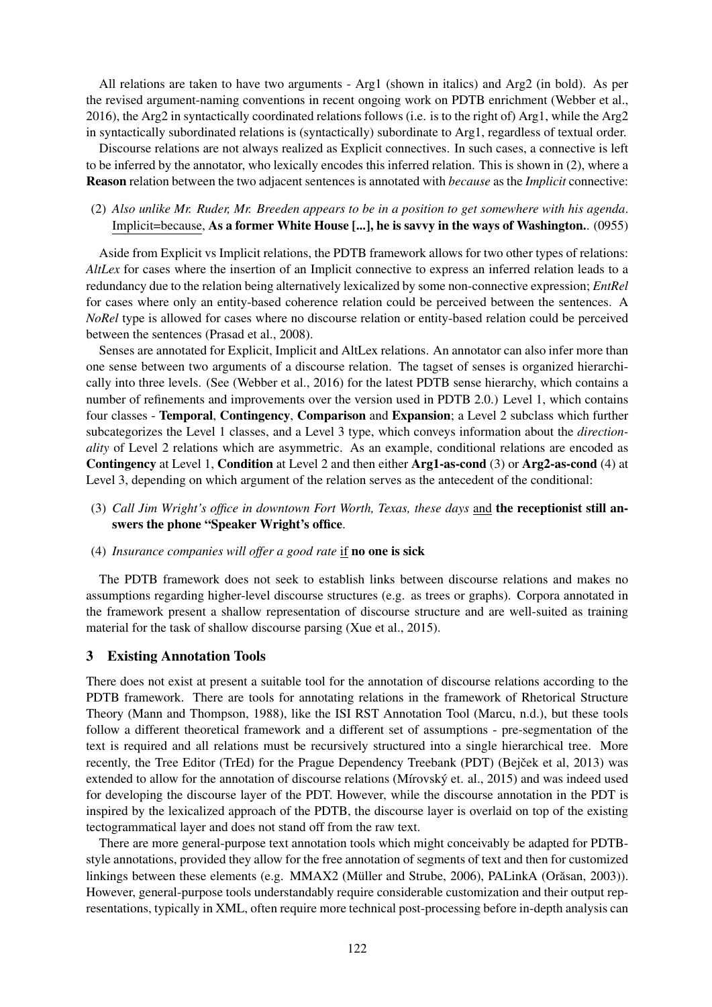All relations are taken to have two arguments - Arg1 (shown in italics) and Arg2 (in bold). As per the revised argument-naming conventions in recent ongoing work on PDTB enrichment (Webber et al., 2016), the Arg2 in syntactically coordinated relations follows (i.e. is to the right of) Arg1, while the Arg2 in syntactically subordinated relations is (syntactically) subordinate to Arg1, regardless of textual order.

Discourse relations are not always realized as Explicit connectives. In such cases, a connective is left to be inferred by the annotator, who lexically encodes this inferred relation. This is shown in (2), where a Reason relation between the two adjacent sentences is annotated with *because* as the *Implicit* connective:

# (2) *Also unlike Mr. Ruder, Mr. Breeden appears to be in a position to get somewhere with his agenda*. Implicit=because, As a former White House [...], he is savvy in the ways of Washington.. (0955)

Aside from Explicit vs Implicit relations, the PDTB framework allows for two other types of relations: *AltLex* for cases where the insertion of an Implicit connective to express an inferred relation leads to a redundancy due to the relation being alternatively lexicalized by some non-connective expression; *EntRel* for cases where only an entity-based coherence relation could be perceived between the sentences. A *NoRel* type is allowed for cases where no discourse relation or entity-based relation could be perceived between the sentences (Prasad et al., 2008).

Senses are annotated for Explicit, Implicit and AltLex relations. An annotator can also infer more than one sense between two arguments of a discourse relation. The tagset of senses is organized hierarchically into three levels. (See (Webber et al., 2016) for the latest PDTB sense hierarchy, which contains a number of refinements and improvements over the version used in PDTB 2.0.) Level 1, which contains four classes - Temporal, Contingency, Comparison and Expansion; a Level 2 subclass which further subcategorizes the Level 1 classes, and a Level 3 type, which conveys information about the *directionality* of Level 2 relations which are asymmetric. As an example, conditional relations are encoded as Contingency at Level 1, Condition at Level 2 and then either Arg1-as-cond (3) or Arg2-as-cond (4) at Level 3, depending on which argument of the relation serves as the antecedent of the conditional:

(3) *Call Jim Wright's office in downtown Fort Worth, Texas, these days* and the receptionist still answers the phone "Speaker Wright's office.

#### (4) *Insurance companies will offer a good rate* if no one is sick

The PDTB framework does not seek to establish links between discourse relations and makes no assumptions regarding higher-level discourse structures (e.g. as trees or graphs). Corpora annotated in the framework present a shallow representation of discourse structure and are well-suited as training material for the task of shallow discourse parsing (Xue et al., 2015).

#### 3 Existing Annotation Tools

There does not exist at present a suitable tool for the annotation of discourse relations according to the PDTB framework. There are tools for annotating relations in the framework of Rhetorical Structure Theory (Mann and Thompson, 1988), like the ISI RST Annotation Tool (Marcu, n.d.), but these tools follow a different theoretical framework and a different set of assumptions - pre-segmentation of the text is required and all relations must be recursively structured into a single hierarchical tree. More recently, the Tree Editor (TrEd) for the Prague Dependency Treebank (PDT) (Bejček et al, 2013) was extended to allow for the annotation of discourse relations (Mírovský et. al., 2015) and was indeed used for developing the discourse layer of the PDT. However, while the discourse annotation in the PDT is inspired by the lexicalized approach of the PDTB, the discourse layer is overlaid on top of the existing tectogrammatical layer and does not stand off from the raw text.

There are more general-purpose text annotation tools which might conceivably be adapted for PDTBstyle annotations, provided they allow for the free annotation of segments of text and then for customized linkings between these elements (e.g. MMAX2 (Müller and Strube, 2006), PALinkA (Orăsan, 2003)). However, general-purpose tools understandably require considerable customization and their output representations, typically in XML, often require more technical post-processing before in-depth analysis can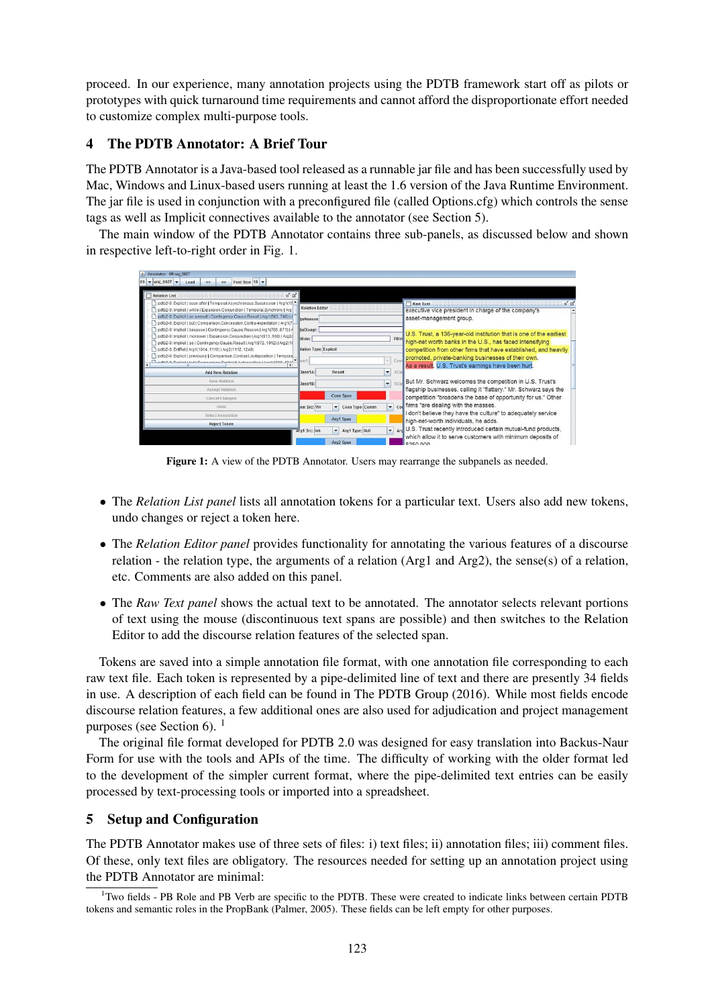proceed. In our experience, many annotation projects using the PDTB framework start off as pilots or prototypes with quick turnaround time requirements and cannot afford the disproportionate effort needed to customize complex multi-purpose tools.

# 4 The PDTB Annotator: A Brief Tour

The PDTB Annotator is a Java-based tool released as a runnable jar file and has been successfully used by Mac, Windows and Linux-based users running at least the 1.6 version of the Java Runtime Environment. The jar file is used in conjunction with a preconfigured file (called Options.cfg) which controls the sense tags as well as Implicit connectives available to the annotator (see Section 5).

The main window of the PDTB Annotator contains three sub-panels, as discussed below and shown in respective left-to-right order in Fig. 1.

| Annotator: 09\wsj_0927                                                                                                                                                                                                                                                                                                                                                           |                                                                      |                               |                |                           |                                                                                                                                                                                                                                                                                                               |
|----------------------------------------------------------------------------------------------------------------------------------------------------------------------------------------------------------------------------------------------------------------------------------------------------------------------------------------------------------------------------------|----------------------------------------------------------------------|-------------------------------|----------------|---------------------------|---------------------------------------------------------------------------------------------------------------------------------------------------------------------------------------------------------------------------------------------------------------------------------------------------------------|
| $09 - \text{wsj} 0927 -$<br>Font Size: $18$ $\rightarrow$<br>Load<br><<<br>$\rightarrow$                                                                                                                                                                                                                                                                                         |                                                                      |                               |                |                           |                                                                                                                                                                                                                                                                                                               |
| $\mathbf{u}^{\mathbf{c}}$ $\mathbf{u}^{\mathbf{r}}$<br><b>Relation List</b>                                                                                                                                                                                                                                                                                                      |                                                                      |                               |                |                           |                                                                                                                                                                                                                                                                                                               |
| pdtb2-0: Explicit   soon after   Temporal.Asynchronous.Succession   Arg1(17 <sup>4</sup><br>pdtb2-0; Implicit   while   Expansion.Conjunction   Temporal.Synchrony   Arg<br>pdtb2-0: Explicit   as a result   Contingency.Cause.Result   Arg1(503.740)   A<br>pdtb2-0; Explicit   but   Comparison.Concession.Contra-expectation   Arg1(7-                                       | <b>Relation Editor</b><br>liuReason                                  |                               |                |                           | $\sigma^{\prime}$ [2]<br>Raw Text<br>executive vice president in charge of the company's<br>asset-management group.                                                                                                                                                                                           |
| pdtb2-0; Implicit   because   Contingency.Cause.Reason   Arg1(795.871)   A<br>pdtb2-0; Implicit   moreover   Expansion.Conjunction   Arg1(913969)   Arg2(<br>pdtb2-0: Implicit   so   Contingency.Cause.Result   Arg1(9721012)   Arg2(10<br>pdtb2-0; EntRel   Arg1(10141110)   Arg2(11121240)<br>In dtb2-0: Explicit   previously   Comparison.Contrast.Juxtaposition   Temporal | sjuDisagr:<br>BRole:<br><b>Mation Type: Explicit</b><br>×<br>$b$ nn1 |                               |                | PBV                       | U.S. Trust, a 136-year-old institution that is one of the earliest<br>high-net worth banks in the U.S., has faced intensifying<br>competition from other firms that have established, and heavily<br>promoted, private-banking businesses of their own.<br>As a result. U.S. Trust's earnings have been hurt. |
| (Bbf), D. Puntialt Lhut L. Composition Contrast Judgmention Literation C. 1911                                                                                                                                                                                                                                                                                                   |                                                                      |                               |                | Conn                      |                                                                                                                                                                                                                                                                                                               |
| <b>Add New Relation</b>                                                                                                                                                                                                                                                                                                                                                          | Class1A:                                                             | Result                        | $\bullet$ SCIa |                           |                                                                                                                                                                                                                                                                                                               |
| Save Relation                                                                                                                                                                                                                                                                                                                                                                    | Class1B:                                                             |                               | ۰              | SCIa                      | But Mr. Schwarz welcomes the competition in U.S. Trust's                                                                                                                                                                                                                                                      |
| <b>Accept Relation</b>                                                                                                                                                                                                                                                                                                                                                           |                                                                      | -Conn Span                    |                |                           | flagship businesses, calling it "flattery." Mr. Schwarz says the                                                                                                                                                                                                                                              |
| Cancel Changes                                                                                                                                                                                                                                                                                                                                                                   |                                                                      |                               |                |                           | competition "broadens the base of opportunity for us." Other<br>$\sqrt{\frac{1}{100}}$ firms "are dealing with the masses.                                                                                                                                                                                    |
| Undo                                                                                                                                                                                                                                                                                                                                                                             | onn Src: Wr                                                          | Conn Type: Comm               |                |                           | I don't believe they have the culture" to adequately service                                                                                                                                                                                                                                                  |
| Select Annotation                                                                                                                                                                                                                                                                                                                                                                |                                                                      | -Arg1 Span                    |                |                           | high-net-worth individuals, he adds.                                                                                                                                                                                                                                                                          |
| <b>Reject Token</b>                                                                                                                                                                                                                                                                                                                                                              | Arg1 Src: Inh                                                        | Arg1 Type: Null<br>-Arg2 Span |                | $\blacktriangleright$ Ard | U.S. Trust recently introduced certain mutual-fund products,<br>which allow it to serve customers with minimum deposits of<br>COED DOO                                                                                                                                                                        |

Figure 1: A view of the PDTB Annotator. Users may rearrange the subpanels as needed.

- The *Relation List panel* lists all annotation tokens for a particular text. Users also add new tokens, undo changes or reject a token here.
- The *Relation Editor panel* provides functionality for annotating the various features of a discourse relation - the relation type, the arguments of a relation (Arg1 and Arg2), the sense(s) of a relation, etc. Comments are also added on this panel.
- The *Raw Text panel* shows the actual text to be annotated. The annotator selects relevant portions of text using the mouse (discontinuous text spans are possible) and then switches to the Relation Editor to add the discourse relation features of the selected span.

Tokens are saved into a simple annotation file format, with one annotation file corresponding to each raw text file. Each token is represented by a pipe-delimited line of text and there are presently 34 fields in use. A description of each field can be found in The PDTB Group (2016). While most fields encode discourse relation features, a few additional ones are also used for adjudication and project management purposes (see Section 6).  $<sup>1</sup>$ </sup>

The original file format developed for PDTB 2.0 was designed for easy translation into Backus-Naur Form for use with the tools and APIs of the time. The difficulty of working with the older format led to the development of the simpler current format, where the pipe-delimited text entries can be easily processed by text-processing tools or imported into a spreadsheet.

# 5 Setup and Configuration

The PDTB Annotator makes use of three sets of files: i) text files; ii) annotation files; iii) comment files. Of these, only text files are obligatory. The resources needed for setting up an annotation project using the PDTB Annotator are minimal:

<sup>&</sup>lt;sup>1</sup>Two fields - PB Role and PB Verb are specific to the PDTB. These were created to indicate links between certain PDTB tokens and semantic roles in the PropBank (Palmer, 2005). These fields can be left empty for other purposes.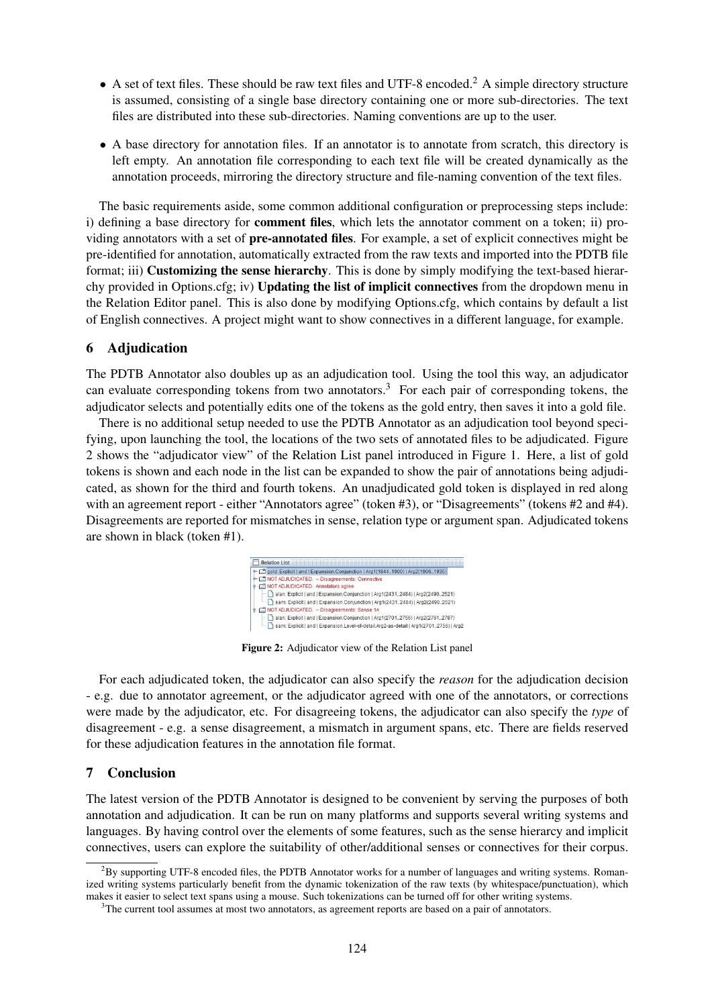- A set of text files. These should be raw text files and UTF-8 encoded.<sup>2</sup> A simple directory structure is assumed, consisting of a single base directory containing one or more sub-directories. The text files are distributed into these sub-directories. Naming conventions are up to the user.
- A base directory for annotation files. If an annotator is to annotate from scratch, this directory is left empty. An annotation file corresponding to each text file will be created dynamically as the annotation proceeds, mirroring the directory structure and file-naming convention of the text files.

The basic requirements aside, some common additional configuration or preprocessing steps include: i) defining a base directory for **comment files**, which lets the annotator comment on a token; ii) providing annotators with a set of pre-annotated files. For example, a set of explicit connectives might be pre-identified for annotation, automatically extracted from the raw texts and imported into the PDTB file format; iii) **Customizing the sense hierarchy**. This is done by simply modifying the text-based hierarchy provided in Options.cfg; iv) Updating the list of implicit connectives from the dropdown menu in the Relation Editor panel. This is also done by modifying Options.cfg, which contains by default a list of English connectives. A project might want to show connectives in a different language, for example.

#### 6 Adjudication

The PDTB Annotator also doubles up as an adjudication tool. Using the tool this way, an adjudicator can evaluate corresponding tokens from two annotators.<sup>3</sup> For each pair of corresponding tokens, the adjudicator selects and potentially edits one of the tokens as the gold entry, then saves it into a gold file.

There is no additional setup needed to use the PDTB Annotator as an adjudication tool beyond specifying, upon launching the tool, the locations of the two sets of annotated files to be adjudicated. Figure 2 shows the "adjudicator view" of the Relation List panel introduced in Figure 1. Here, a list of gold tokens is shown and each node in the list can be expanded to show the pair of annotations being adjudicated, as shown for the third and fourth tokens. An unadjudicated gold token is displayed in red along with an agreement report - either "Annotators agree" (token #3), or "Disagreements" (tokens #2 and #4). Disagreements are reported for mismatches in sense, relation type or argument span. Adjudicated tokens are shown in black (token #1).



Figure 2: Adjudicator view of the Relation List panel

For each adjudicated token, the adjudicator can also specify the *reason* for the adjudication decision - e.g. due to annotator agreement, or the adjudicator agreed with one of the annotators, or corrections were made by the adjudicator, etc. For disagreeing tokens, the adjudicator can also specify the *type* of disagreement - e.g. a sense disagreement, a mismatch in argument spans, etc. There are fields reserved for these adjudication features in the annotation file format.

## 7 Conclusion

The latest version of the PDTB Annotator is designed to be convenient by serving the purposes of both annotation and adjudication. It can be run on many platforms and supports several writing systems and languages. By having control over the elements of some features, such as the sense hierarcy and implicit connectives, users can explore the suitability of other/additional senses or connectives for their corpus.

 ${}^{2}$ By supporting UTF-8 encoded files, the PDTB Annotator works for a number of languages and writing systems. Romanized writing systems particularly benefit from the dynamic tokenization of the raw texts (by whitespace/punctuation), which makes it easier to select text spans using a mouse. Such tokenizations can be turned off for other writing systems.

<sup>&</sup>lt;sup>3</sup>The current tool assumes at most two annotators, as agreement reports are based on a pair of annotators.